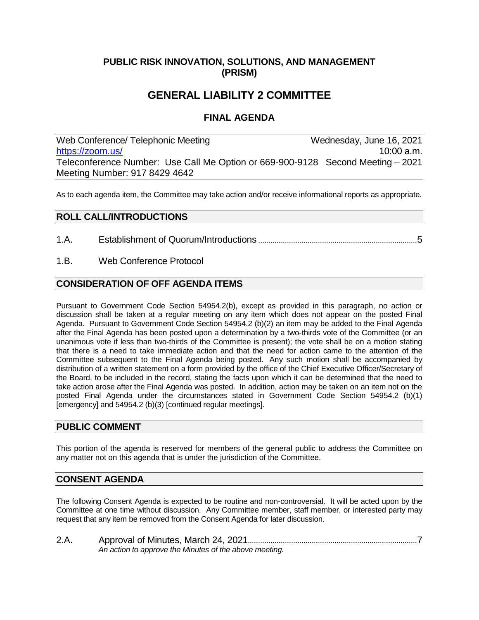## **PUBLIC RISK INNOVATION, SOLUTIONS, AND MANAGEMENT (PRISM)**

## **GENERAL LIABILITY 2 COMMITTEE**

## **FINAL AGENDA**

Web Conference/ Telephonic Meeting Wednesday, June 16, 2021 [https://zoom.us/](https://zoom.us/j/91784294642?pwd=NGtPVnIzeU9Ra25KbG9mcnhHMSt4Zz09) 10:00 a.m. Teleconference Number: Use Call Me Option or 669-900-9128 Second Meeting – 2021 Meeting Number: 917 8429 4642

As to each agenda item, the Committee may take action and/or receive informational reports as appropriate.

### **ROLL CALL/INTRODUCTIONS**

- 1.A. Establishment of Quorum/Introductions .............................................................................5
- 1.B. Web Conference Protocol

### **CONSIDERATION OF OFF AGENDA ITEMS**

Pursuant to Government Code Section 54954.2(b), except as provided in this paragraph, no action or discussion shall be taken at a regular meeting on any item which does not appear on the posted Final Agenda. Pursuant to Government Code Section 54954.2 (b)(2) an item may be added to the Final Agenda after the Final Agenda has been posted upon a determination by a two-thirds vote of the Committee (or an unanimous vote if less than two-thirds of the Committee is present); the vote shall be on a motion stating that there is a need to take immediate action and that the need for action came to the attention of the Committee subsequent to the Final Agenda being posted. Any such motion shall be accompanied by distribution of a written statement on a form provided by the office of the Chief Executive Officer/Secretary of the Board, to be included in the record, stating the facts upon which it can be determined that the need to take action arose after the Final Agenda was posted. In addition, action may be taken on an item not on the posted Final Agenda under the circumstances stated in Government Code Section 54954.2 (b)(1) [emergency] and 54954.2 (b)(3) [continued regular meetings].

### **PUBLIC COMMENT**

This portion of the agenda is reserved for members of the general public to address the Committee on any matter not on this agenda that is under the jurisdiction of the Committee.

#### **CONSENT AGENDA**

The following Consent Agenda is expected to be routine and non-controversial. It will be acted upon by the Committee at one time without discussion. Any Committee member, staff member, or interested party may request that any item be removed from the Consent Agenda for later discussion.

2.A. Approval of Minutes, March 24, 2021..................................................................................7 *An action to approve the Minutes of the above meeting.*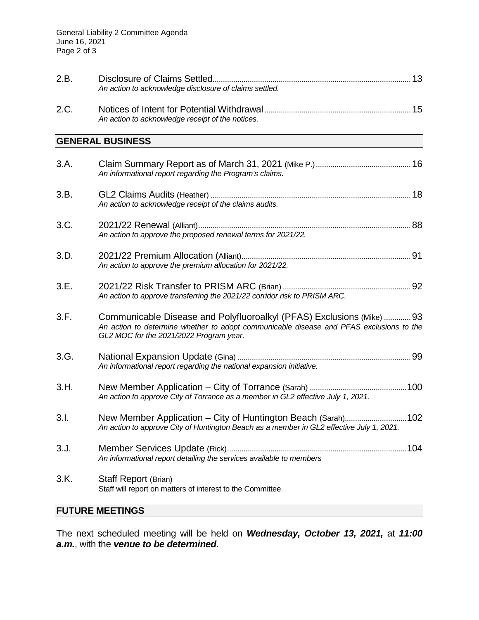| 2.B. | An action to acknowledge disclosure of claims settled.                                                                                                                                                      |  |
|------|-------------------------------------------------------------------------------------------------------------------------------------------------------------------------------------------------------------|--|
| 2.C. | An action to acknowledge receipt of the notices.                                                                                                                                                            |  |
|      | <b>GENERAL BUSINESS</b>                                                                                                                                                                                     |  |
| 3.A. | An informational report regarding the Program's claims.                                                                                                                                                     |  |
| 3.B. | An action to acknowledge receipt of the claims audits.                                                                                                                                                      |  |
| 3.C. | An action to approve the proposed renewal terms for 2021/22.                                                                                                                                                |  |
| 3.D. | An action to approve the premium allocation for 2021/22.                                                                                                                                                    |  |
| 3.E. | An action to approve transferring the 2021/22 corridor risk to PRISM ARC.                                                                                                                                   |  |
| 3.F. | Communicable Disease and Polyfluoroalkyl (PFAS) Exclusions (Mike)  93<br>An action to determine whether to adopt communicable disease and PFAS exclusions to the<br>GL2 MOC for the 2021/2022 Program year. |  |
| 3.G. | An informational report regarding the national expansion initiative.                                                                                                                                        |  |
| 3.H. | An action to approve City of Torrance as a member in GL2 effective July 1, 2021.                                                                                                                            |  |
| 3.1. | New Member Application - City of Huntington Beach (Sarah)102<br>An action to approve City of Huntington Beach as a member in GL2 effective July 1, 2021.                                                    |  |
| 3.J. | An informational report detailing the services available to members                                                                                                                                         |  |
| 3.K. | Staff Report (Brian)<br>Staff will report on matters of interest to the Committee.                                                                                                                          |  |

# **FUTURE MEETINGS**

The next scheduled meeting will be held on *Wednesday, October 13, 2021,* at *11:00 a.m.*, with the *venue to be determined*.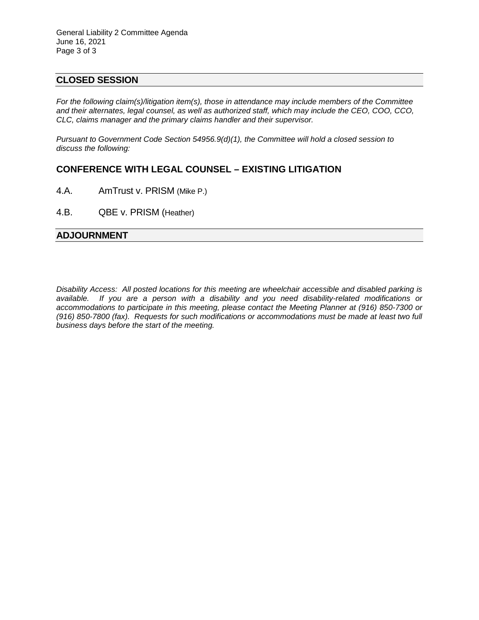### **CLOSED SESSION**

*For the following claim(s)/litigation item(s), those in attendance may include members of the Committee and their alternates, legal counsel, as well as authorized staff, which may include the CEO, COO, CCO, CLC, claims manager and the primary claims handler and their supervisor.* 

*Pursuant to Government Code Section 54956.9(d)(1), the Committee will hold a closed session to discuss the following:*

## **CONFERENCE WITH LEGAL COUNSEL – EXISTING LITIGATION**

- 4.A. AmTrust v. PRISM (Mike P.)
- 4.B. QBE v. PRISM (Heather)

### **ADJOURNMENT**

*Disability Access: All posted locations for this meeting are wheelchair accessible and disabled parking is available. If you are a person with a disability and you need disability-related modifications or accommodations to participate in this meeting, please contact the Meeting Planner at (916) 850-7300 or (916) 850-7800 (fax). Requests for such modifications or accommodations must be made at least two full business days before the start of the meeting.*